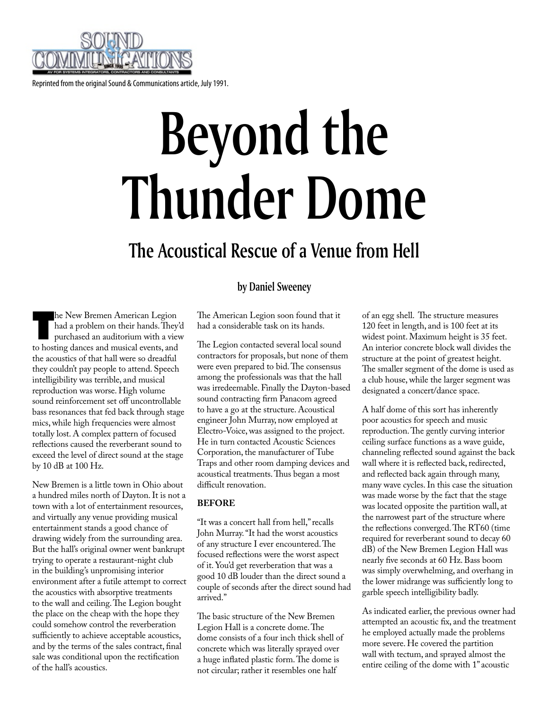

Reprinted from the original Sound & Communications article, July 1991.

# **Beyond the Thunder Dome**

## **The Acoustical Rescue of a Venue from Hell**

### **by Daniel Sweeney**

The New Bremen American Legion<br>had a problem on their hands. They<br>purchased an auditorium with a view had a problem on their hands. They'd purchased an auditorium with a view to hosting dances and musical events, and the acoustics of that hall were so dreadful they couldn't pay people to attend. Speech intelligibility was terrible, and musical reproduction was worse. High volume sound reinforcement set off uncontrollable bass resonances that fed back through stage mics, while high frequencies were almost totally lost. A complex pattern of focused reflections caused the reverberant sound to exceed the level of direct sound at the stage by 10 dB at 100 Hz.

New Bremen is a little town in Ohio about a hundred miles north of Dayton. It is not a town with a lot of entertainment resources, and virtually any venue providing musical entertainment stands a good chance of drawing widely from the surrounding area. But the hall's original owner went bankrupt trying to operate a restaurant-night club in the building's unpromising interior environment after a futile attempt to correct the acoustics with absorptive treatments to the wall and ceiling. The Legion bought the place on the cheap with the hope they could somehow control the reverberation sufficiently to achieve acceptable acoustics, and by the terms of the sales contract, final sale was conditional upon the rectification of the hall's acoustics.

The American Legion soon found that it had a considerable task on its hands.

The Legion contacted several local sound contractors for proposals, but none of them were even prepared to bid. The consensus among the professionals was that the hall was irredeemable. Finally the Dayton-based sound contracting firm Panacom agreed to have a go at the structure. Acoustical engineer John Murray, now employed at Electro-Voice, was assigned to the project. He in turn contacted Acoustic Sciences Corporation, the manufacturer of Tube Traps and other room damping devices and acoustical treatments. Thus began a most difficult renovation.

#### **BEFORE**

"It was a concert hall from hell," recalls John Murray. "It had the worst acoustics of any structure I ever encountered. The focused reflections were the worst aspect of it. You'd get reverberation that was a good 10 dB louder than the direct sound a couple of seconds after the direct sound had arrived."

The basic structure of the New Bremen Legion Hall is a concrete dome. The dome consists of a four inch thick shell of concrete which was literally sprayed over a huge inflated plastic form. The dome is not circular; rather it resembles one half

of an egg shell. The structure measures 120 feet in length, and is 100 feet at its widest point. Maximum height is 35 feet. An interior concrete block wall divides the structure at the point of greatest height. The smaller segment of the dome is used as a club house, while the larger segment was designated a concert/dance space.

A half dome of this sort has inherently poor acoustics for speech and music reproduction. The gently curving interior ceiling surface functions as a wave guide, channeling reflected sound against the back wall where it is reflected back, redirected, and reflected back again through many, many wave cycles. In this case the situation was made worse by the fact that the stage was located opposite the partition wall, at the narrowest part of the structure where the reflections converged. The RT60 (time required for reverberant sound to decay 60 dB) of the New Bremen Legion Hall was nearly five seconds at 60 Hz. Bass boom was simply overwhelming, and overhang in the lower midrange was sufficiently long to garble speech intelligibility badly.

As indicated earlier, the previous owner had attempted an acoustic fix, and the treatment he employed actually made the problems more severe. He covered the partition wall with tectum, and sprayed almost the entire ceiling of the dome with 1" acoustic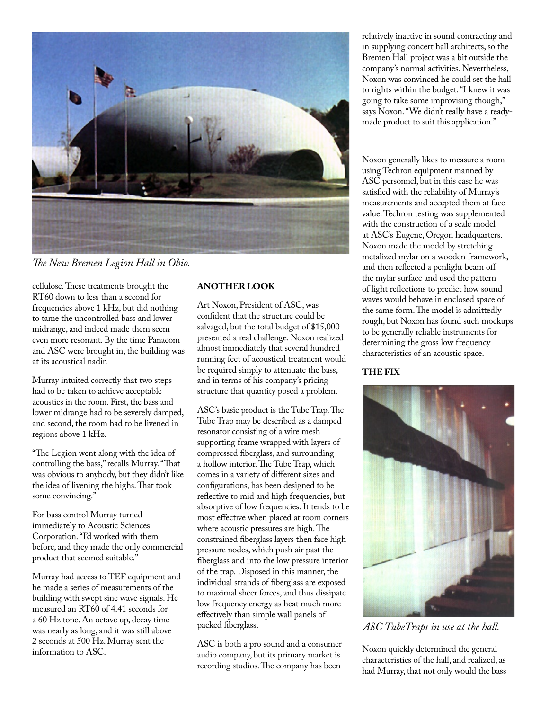

*The New Bremen Legion Hall in Ohio.*

cellulose. These treatments brought the RT60 down to less than a second for frequencies above 1 kHz, but did nothing to tame the uncontrolled bass and lower midrange, and indeed made them seem even more resonant. By the time Panacom and ASC were brought in, the building was at its acoustical nadir.

Murray intuited correctly that two steps had to be taken to achieve acceptable acoustics in the room. First, the bass and lower midrange had to be severely damped, and second, the room had to be livened in regions above 1 kHz.

"The Legion went along with the idea of controlling the bass," recalls Murray. "That was obvious to anybody, but they didn't like the idea of livening the highs. That took some convincing."

For bass control Murray turned immediately to Acoustic Sciences Corporation. "I'd worked with them before, and they made the only commercial product that seemed suitable."

Murray had access to TEF equipment and he made a series of measurements of the building with swept sine wave signals. He measured an RT60 of 4.41 seconds for a 60 Hz tone. An octave up, decay time was nearly as long, and it was still above 2 seconds at 500 Hz. Murray sent the information to ASC.

#### **ANOTHER LOOK**

Art Noxon, President of ASC, was confident that the structure could be salvaged, but the total budget of \$15,000 presented a real challenge. Noxon realized almost immediately that several hundred running feet of acoustical treatment would be required simply to attenuate the bass, and in terms of his company's pricing structure that quantity posed a problem.

ASC's basic product is the Tube Trap. The Tube Trap may be described as a damped resonator consisting of a wire mesh supporting frame wrapped with layers of compressed fiberglass, and surrounding a hollow interior. The Tube Trap, which comes in a variety of different sizes and configurations, has been designed to be reflective to mid and high frequencies, but absorptive of low frequencies. It tends to be most effective when placed at room corners where acoustic pressures are high. The constrained fiberglass layers then face high pressure nodes, which push air past the fiberglass and into the low pressure interior of the trap. Disposed in this manner, the individual strands of fiberglass are exposed to maximal sheer forces, and thus dissipate low frequency energy as heat much more effectively than simple wall panels of packed fiberglass.

ASC is both a pro sound and a consumer audio company, but its primary market is recording studios. The company has been

relatively inactive in sound contracting and in supplying concert hall architects, so the Bremen Hall project was a bit outside the company's normal activities. Nevertheless, Noxon was convinced he could set the hall to rights within the budget. "I knew it was going to take some improvising though," says Noxon. "We didn't really have a readymade product to suit this application."

Noxon generally likes to measure a room using Techron equipment manned by ASC personnel, but in this case he was satisfied with the reliability of Murray's measurements and accepted them at face value. Techron testing was supplemented with the construction of a scale model at ASC's Eugene, Oregon headquarters. Noxon made the model by stretching metalized mylar on a wooden framework, and then reflected a penlight beam off the mylar surface and used the pattern of light reflections to predict how sound waves would behave in enclosed space of the same form. The model is admittedly rough, but Noxon has found such mockups to be generally reliable instruments for determining the gross low frequency characteristics of an acoustic space.

#### **THE FIX**



*ASC TubeTraps in use at the hall.*

Noxon quickly determined the general characteristics of the hall, and realized, as had Murray, that not only would the bass